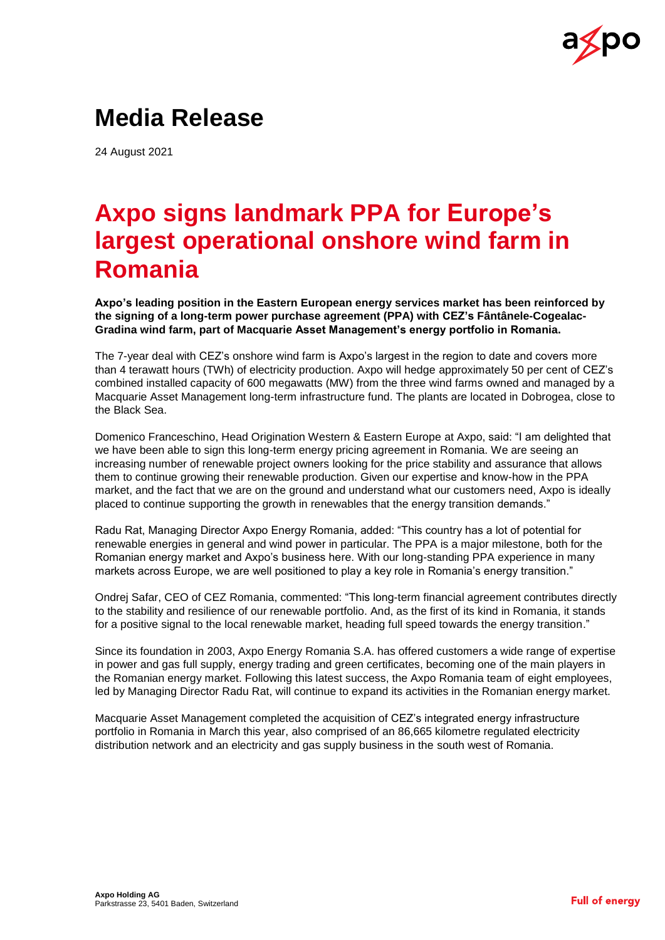

# **Media Release**

24 August 2021

# **Axpo signs landmark PPA for Europe's largest operational onshore wind farm in Romania**

**Axpo's leading position in the Eastern European energy services market has been reinforced by the signing of a long-term power purchase agreement (PPA) with CEZ's Fântânele-Cogealac-Gradina wind farm, part of Macquarie Asset Management's energy portfolio in Romania.**

The 7-year deal with CEZ's onshore wind farm is Axpo's largest in the region to date and covers more than 4 terawatt hours (TWh) of electricity production. Axpo will hedge approximately 50 per cent of CEZ's combined installed capacity of 600 megawatts (MW) from the three wind farms owned and managed by a Macquarie Asset Management long-term infrastructure fund. The plants are located in Dobrogea, close to the Black Sea.

Domenico Franceschino, Head Origination Western & Eastern Europe at Axpo, said: "I am delighted that we have been able to sign this long-term energy pricing agreement in Romania. We are seeing an increasing number of renewable project owners looking for the price stability and assurance that allows them to continue growing their renewable production. Given our expertise and know-how in the PPA market, and the fact that we are on the ground and understand what our customers need, Axpo is ideally placed to continue supporting the growth in renewables that the energy transition demands."

Radu Rat, Managing Director Axpo Energy Romania, added: "This country has a lot of potential for renewable energies in general and wind power in particular. The PPA is a major milestone, both for the Romanian energy market and Axpo's business here. With our long-standing PPA experience in many markets across Europe, we are well positioned to play a key role in Romania's energy transition."

Ondrej Safar, CEO of CEZ Romania, commented: "This long-term financial agreement contributes directly to the stability and resilience of our renewable portfolio. And, as the first of its kind in Romania, it stands for a positive signal to the local renewable market, heading full speed towards the energy transition."

Since its foundation in 2003, Axpo Energy Romania S.A. has offered customers a wide range of expertise in power and gas full supply, energy trading and green certificates, becoming one of the main players in the Romanian energy market. Following this latest success, the Axpo Romania team of eight employees, led by Managing Director Radu Rat, will continue to expand its activities in the Romanian energy market.

Macquarie Asset Management completed the acquisition of CEZ's integrated energy infrastructure portfolio in Romania in March this year, also comprised of an 86,665 kilometre regulated electricity distribution network and an electricity and gas supply business in the south west of Romania.